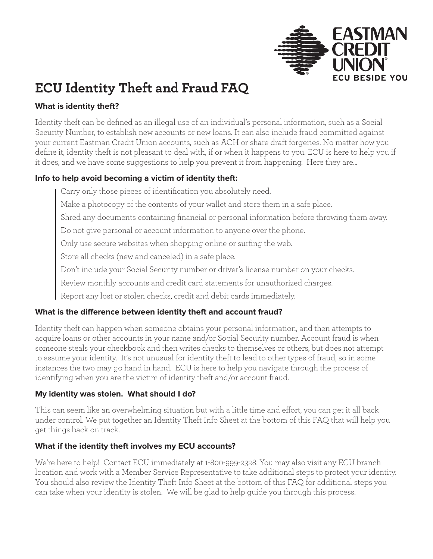

## **ECU Identity Theft and Fraud FAQ**

#### **What is identity theft?**

Identity theft can be defined as an illegal use of an individual's personal information, such as a Social Security Number, to establish new accounts or new loans. It can also include fraud committed against your current Eastman Credit Union accounts, such as ACH or share draft forgeries. No matter how you define it, identity theft is not pleasant to deal with, if or when it happens to you. ECU is here to help you if it does, and we have some suggestions to help you prevent it from happening. Here they are…

#### **Info to help avoid becoming a victim of identity theft:**

Carry only those pieces of identification you absolutely need.

Make a photocopy of the contents of your wallet and store them in a safe place.

Shred any documents containing financial or personal information before throwing them away.

Do not give personal or account information to anyone over the phone.

Only use secure websites when shopping online or surfing the web.

Store all checks (new and canceled) in a safe place.

Don't include your Social Security number or driver's license number on your checks.

Review monthly accounts and credit card statements for unauthorized charges.

Report any lost or stolen checks, credit and debit cards immediately.

#### **What is the difference between identity theft and account fraud?**

Identity theft can happen when someone obtains your personal information, and then attempts to acquire loans or other accounts in your name and/or Social Security number. Account fraud is when someone steals your checkbook and then writes checks to themselves or others, but does not attempt to assume your identity. It's not unusual for identity theft to lead to other types of fraud, so in some instances the two may go hand in hand. ECU is here to help you navigate through the process of identifying when you are the victim of identity theft and/or account fraud.

#### **My identity was stolen. What should I do?**

This can seem like an overwhelming situation but with a little time and effort, you can get it all back under control. We put together an Identity Theft Info Sheet at the bottom of this FAQ that will help you get things back on track.

#### **What if the identity theft involves my ECU accounts?**

We're here to help! Contact ECU immediately at 1-800-999-2328. You may also visit any ECU branch location and work with a Member Service Representative to take additional steps to protect your identity. You should also review the Identity Theft Info Sheet at the bottom of this FAQ for additional steps you can take when your identity is stolen. We will be glad to help guide you through this process.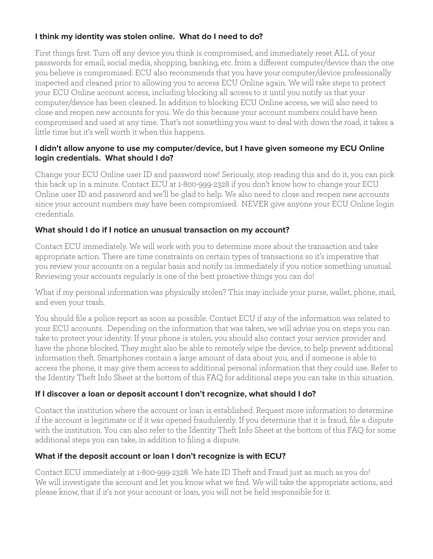#### **I think my identity was stolen online. What do I need to do?**

First things first. Turn off any device you think is compromised, and immediately reset ALL of your passwords for email, social media, shopping, banking, etc. from a different computer/device than the one you believe is compromised. ECU also recommends that you have your computer/device professionally inspected and cleaned prior to allowing you to access ECU Online again. We will take steps to protect your ECU Online account access, including blocking all access to it until you notify us that your computer/device has been cleaned. In addition to blocking ECU Online access, we will also need to close and reopen new accounts for you. We do this because your account numbers could have been compromised and used at any time. That's not something you want to deal with down the road, it takes a little time but it's well worth it when this happens.

#### **I didn't allow anyone to use my computer/device, but I have given someone my ECU Online login credentials. What should I do?**

Change your ECU Online user ID and password now! Seriously, stop reading this and do it, you can pick this back up in a minute. Contact ECU at 1-800-999-2328 if you don't know how to change your ECU Online user ID and password and we'll be glad to help. We also need to close and reopen new accounts since your account numbers may have been compromised. NEVER give anyone your ECU Online login credentials.

#### **What should I do if I notice an unusual transaction on my account?**

Contact ECU immediately. We will work with you to determine more about the transaction and take appropriate action. There are time constraints on certain types of transactions so it's imperative that you review your accounts on a regular basis and notify us immediately if you notice something unusual. Reviewing your accounts regularly is one of the best proactive things you can do!

What if my personal information was physically stolen? This may include your purse, wallet, phone, mail, and even your trash.

You should file a police report as soon as possible. Contact ECU if any of the information was related to your ECU accounts. Depending on the information that was taken, we will advise you on steps you can take to protect your identity. If your phone is stolen, you should also contact your service provider and have the phone blocked. They might also be able to remotely wipe the device, to help prevent additional information theft. Smartphones contain a large amount of data about you, and if someone is able to access the phone, it may give them access to additional personal information that they could use. Refer to the Identity Theft Info Sheet at the bottom of this FAQ for additional steps you can take in this situation.

#### **If I discover a loan or deposit account I don't recognize, what should I do?**

Contact the institution where the account or loan is established. Request more information to determine if the account is legitimate or if it was opened fraudulently. If you determine that it is fraud, file a dispute with the institution. You can also refer to the Identity Theft Info Sheet at the bottom of this FAQ for some additional steps you can take, in addition to filing a dispute.

#### **What if the deposit account or loan I don't recognize is with ECU?**

Contact ECU immediately at 1-800-999-2328. We hate ID Theft and Fraud just as much as you do! We will investigate the account and let you know what we find. We will take the appropriate actions, and please know, that if it's not your account or loan, you will not be held responsible for it.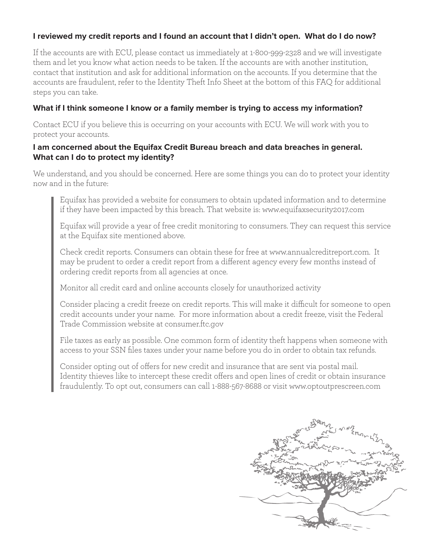#### **I reviewed my credit reports and I found an account that I didn't open. What do I do now?**

If the accounts are with ECU, please contact us immediately at 1-800-999-2328 and we will investigate them and let you know what action needs to be taken. If the accounts are with another institution, contact that institution and ask for additional information on the accounts. If you determine that the accounts are fraudulent, refer to the Identity Theft Info Sheet at the bottom of this FAQ for additional steps you can take.

#### **What if I think someone I know or a family member is trying to access my information?**

Contact ECU if you believe this is occurring on your accounts with ECU. We will work with you to protect your accounts.

#### **I am concerned about the Equifax Credit Bureau breach and data breaches in general. What can I do to protect my identity?**

We understand, and you should be concerned. Here are some things you can do to protect your identity now and in the future:

Equifax has provided a website for consumers to obtain updated information and to determine if they have been impacted by this breach. That website is: www.equifaxsecurity2017.com

Equifax will provide a year of free credit monitoring to consumers. They can request this service at the Equifax site mentioned above.

Check credit reports. Consumers can obtain these for free at www.annualcreditreport.com. It may be prudent to order a credit report from a different agency every few months instead of ordering credit reports from all agencies at once.

Monitor all credit card and online accounts closely for unauthorized activity

Consider placing a credit freeze on credit reports. This will make it difficult for someone to open credit accounts under your name. For more information about a credit freeze, visit the Federal Trade Commission website at consumer.ftc.gov

File taxes as early as possible. One common form of identity theft happens when someone with access to your SSN files taxes under your name before you do in order to obtain tax refunds.

Consider opting out of offers for new credit and insurance that are sent via postal mail. Identity thieves like to intercept these credit offers and open lines of credit or obtain insurance fraudulently. To opt out, consumers can call 1-888-567-8688 or visit www.optoutprescreen.com